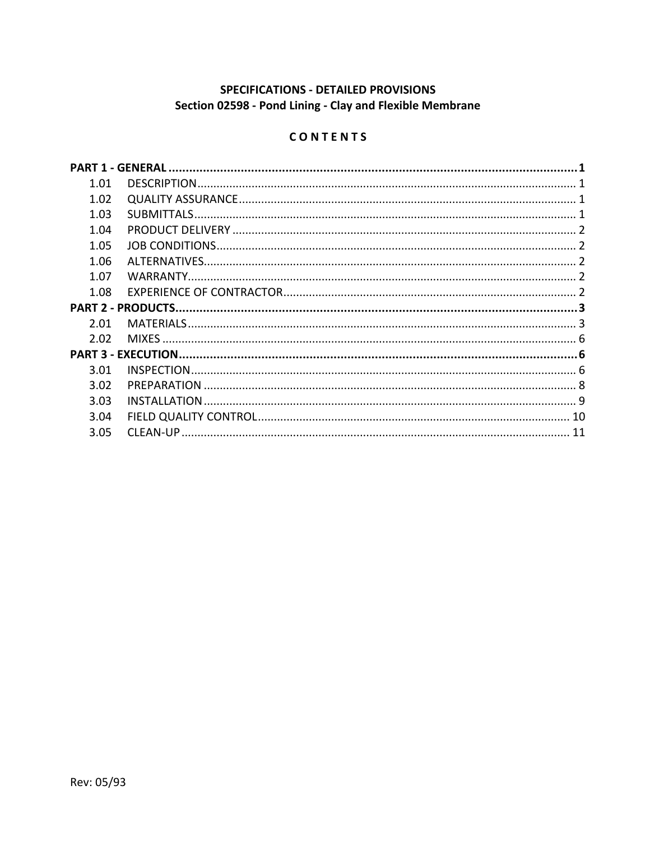# **SPECIFICATIONS - DETAILED PROVISIONS** Section 02598 - Pond Lining - Clay and Flexible Membrane

# CONTENTS

| 1.01 |  |
|------|--|
| 1.02 |  |
| 1.03 |  |
| 1.04 |  |
| 1.05 |  |
| 1.06 |  |
| 1.07 |  |
| 1.08 |  |
|      |  |
| 2.01 |  |
| 2.02 |  |
|      |  |
| 3.01 |  |
| 3.02 |  |
| 3.03 |  |
| 3.04 |  |
| 3.05 |  |
|      |  |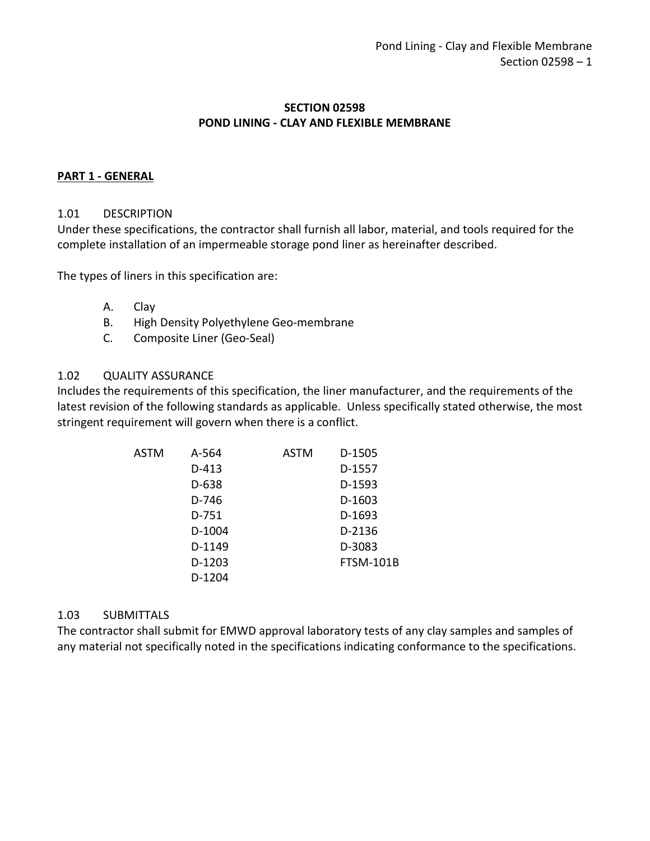## **SECTION 02598 POND LINING - CLAY AND FLEXIBLE MEMBRANE**

### <span id="page-2-0"></span>**PART 1 - GENERAL**

#### <span id="page-2-1"></span>1.01 DESCRIPTION

Under these specifications, the contractor shall furnish all labor, material, and tools required for the complete installation of an impermeable storage pond liner as hereinafter described.

The types of liners in this specification are:

- A. Clay
- B. High Density Polyethylene Geo-membrane
- C. Composite Liner (Geo-Seal)

#### <span id="page-2-2"></span>1.02 QUALITY ASSURANCE

Includes the requirements of this specification, the liner manufacturer, and the requirements of the latest revision of the following standards as applicable. Unless specifically stated otherwise, the most stringent requirement will govern when there is a conflict.

| <b>ASTM</b> | A-564   | ASTM | D-1505    |
|-------------|---------|------|-----------|
|             | D-413   |      | D-1557    |
|             | $D-638$ |      | D-1593    |
|             | D-746   |      | D-1603    |
|             | D-751   |      | D-1693    |
|             | D-1004  |      | D-2136    |
|             | D-1149  |      | D-3083    |
|             | D-1203  |      | FTSM-101B |
|             | D-1204  |      |           |

#### <span id="page-2-3"></span>1.03 SUBMITTALS

The contractor shall submit for EMWD approval laboratory tests of any clay samples and samples of any material not specifically noted in the specifications indicating conformance to the specifications.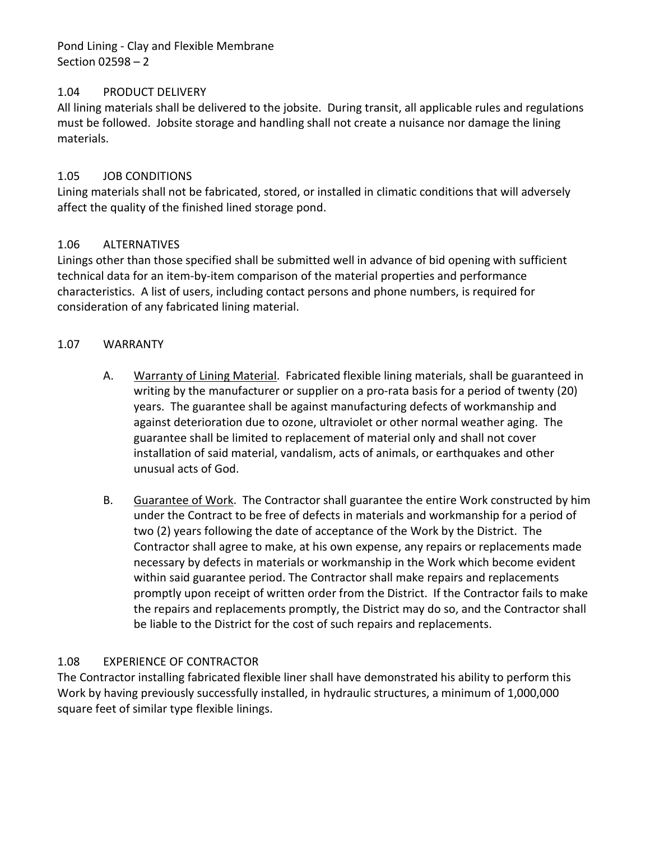Pond Lining - Clay and Flexible Membrane Section 02598 – 2

## <span id="page-3-0"></span>1.04 PRODUCT DELIVERY

All lining materials shall be delivered to the jobsite. During transit, all applicable rules and regulations must be followed. Jobsite storage and handling shall not create a nuisance nor damage the lining materials.

## <span id="page-3-1"></span>1.05 JOB CONDITIONS

Lining materials shall not be fabricated, stored, or installed in climatic conditions that will adversely affect the quality of the finished lined storage pond.

# <span id="page-3-2"></span>1.06 ALTERNATIVES

Linings other than those specified shall be submitted well in advance of bid opening with sufficient technical data for an item-by-item comparison of the material properties and performance characteristics. A list of users, including contact persons and phone numbers, is required for consideration of any fabricated lining material.

## <span id="page-3-3"></span>1.07 WARRANTY

- A. Warranty of Lining Material. Fabricated flexible lining materials, shall be guaranteed in writing by the manufacturer or supplier on a pro-rata basis for a period of twenty (20) years. The guarantee shall be against manufacturing defects of workmanship and against deterioration due to ozone, ultraviolet or other normal weather aging. The guarantee shall be limited to replacement of material only and shall not cover installation of said material, vandalism, acts of animals, or earthquakes and other unusual acts of God.
- B. Guarantee of Work. The Contractor shall guarantee the entire Work constructed by him under the Contract to be free of defects in materials and workmanship for a period of two (2) years following the date of acceptance of the Work by the District. The Contractor shall agree to make, at his own expense, any repairs or replacements made necessary by defects in materials or workmanship in the Work which become evident within said guarantee period. The Contractor shall make repairs and replacements promptly upon receipt of written order from the District. If the Contractor fails to make the repairs and replacements promptly, the District may do so, and the Contractor shall be liable to the District for the cost of such repairs and replacements.

#### <span id="page-3-4"></span>1.08 EXPERIENCE OF CONTRACTOR

The Contractor installing fabricated flexible liner shall have demonstrated his ability to perform this Work by having previously successfully installed, in hydraulic structures, a minimum of 1,000,000 square feet of similar type flexible linings.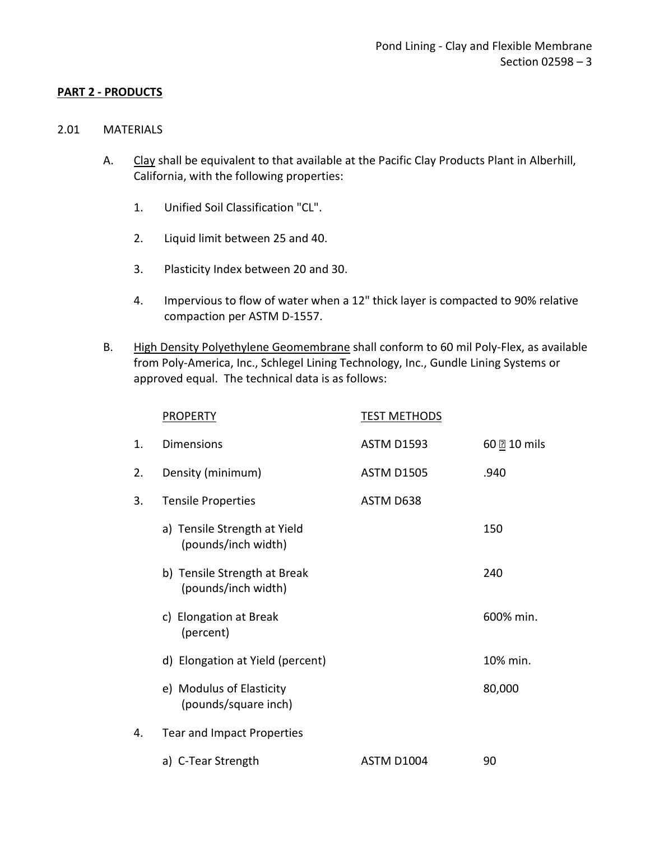#### <span id="page-4-0"></span>**PART 2 - PRODUCTS**

#### <span id="page-4-1"></span>2.01 MATERIALS

- A. Clay shall be equivalent to that available at the Pacific Clay Products Plant in Alberhill, California, with the following properties:
	- 1. Unified Soil Classification "CL".
	- 2. Liquid limit between 25 and 40.
	- 3. Plasticity Index between 20 and 30.
	- 4. Impervious to flow of water when a 12" thick layer is compacted to 90% relative compaction per ASTM D-1557.
- B. High Density Polyethylene Geomembrane shall conform to 60 mil Poly-Flex, as available from Poly-America, Inc., Schlegel Lining Technology, Inc., Gundle Lining Systems or approved equal. The technical data is as follows:

|    | <b>PROPERTY</b>                                     | <b>TEST METHODS</b> |              |
|----|-----------------------------------------------------|---------------------|--------------|
| 1. | <b>Dimensions</b>                                   | <b>ASTM D1593</b>   | 60 0 10 mils |
| 2. | Density (minimum)                                   | <b>ASTM D1505</b>   | .940         |
| 3. | <b>Tensile Properties</b>                           | ASTM D638           |              |
|    | a) Tensile Strength at Yield<br>(pounds/inch width) |                     | 150          |
|    | b) Tensile Strength at Break<br>(pounds/inch width) |                     | 240          |
|    | c) Elongation at Break<br>(percent)                 |                     | 600% min.    |
|    | d) Elongation at Yield (percent)                    |                     | 10% min.     |
|    | e) Modulus of Elasticity<br>(pounds/square inch)    |                     | 80,000       |
| 4. | <b>Tear and Impact Properties</b>                   |                     |              |
|    | a) C-Tear Strength                                  | ASTM D1004          | 90           |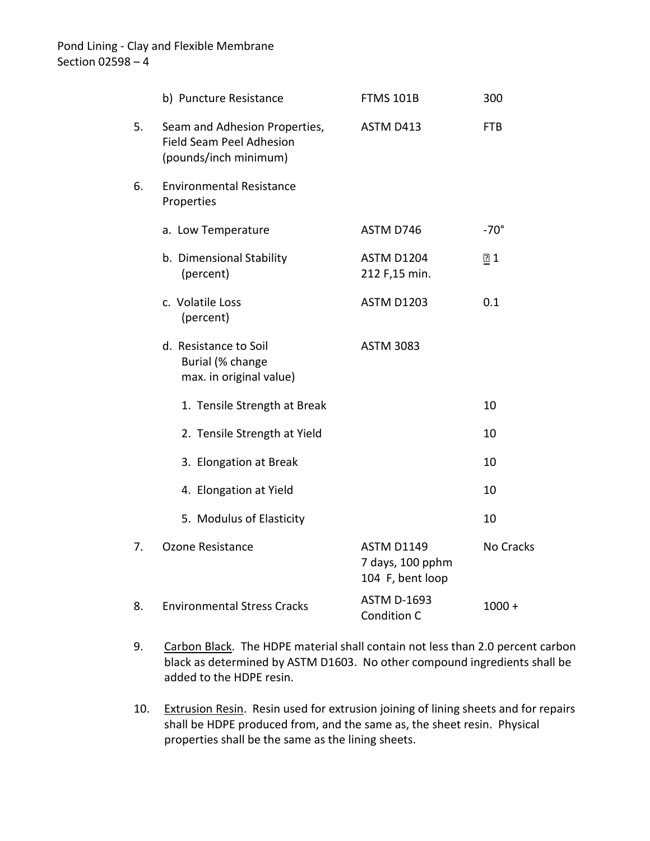|    | b) Puncture Resistance                                                                    | <b>FTMS 101B</b>                                          | 300         |
|----|-------------------------------------------------------------------------------------------|-----------------------------------------------------------|-------------|
| 5. | Seam and Adhesion Properties,<br><b>Field Seam Peel Adhesion</b><br>(pounds/inch minimum) | ASTM D413                                                 | <b>FTB</b>  |
| 6. | <b>Environmental Resistance</b><br>Properties                                             |                                                           |             |
|    | a. Low Temperature                                                                        | ASTM D746                                                 | $-70^\circ$ |
|    | b. Dimensional Stability<br>(percent)                                                     | <b>ASTM D1204</b><br>212 F,15 min.                        | 21          |
|    | c. Volatile Loss<br>(percent)                                                             | <b>ASTM D1203</b>                                         | 0.1         |
|    | d. Resistance to Soil<br>Burial (% change<br>max. in original value)                      | <b>ASTM 3083</b>                                          |             |
|    | 1. Tensile Strength at Break                                                              |                                                           | 10          |
|    | 2. Tensile Strength at Yield                                                              |                                                           | 10          |
|    | 3. Elongation at Break                                                                    |                                                           | 10          |
|    | 4. Elongation at Yield                                                                    |                                                           | 10          |
|    | 5. Modulus of Elasticity                                                                  |                                                           | 10          |
| 7. | <b>Ozone Resistance</b>                                                                   | <b>ASTM D1149</b><br>7 days, 100 pphm<br>104 F, bent loop | No Cracks   |
| 8. | <b>Environmental Stress Cracks</b>                                                        | <b>ASTM D-1693</b><br>Condition C                         | $1000 +$    |

- 9. Carbon Black. The HDPE material shall contain not less than 2.0 percent carbon black as determined by ASTM D1603. No other compound ingredients shall be added to the HDPE resin.
- 10. Extrusion Resin. Resin used for extrusion joining of lining sheets and for repairs shall be HDPE produced from, and the same as, the sheet resin. Physical properties shall be the same as the lining sheets.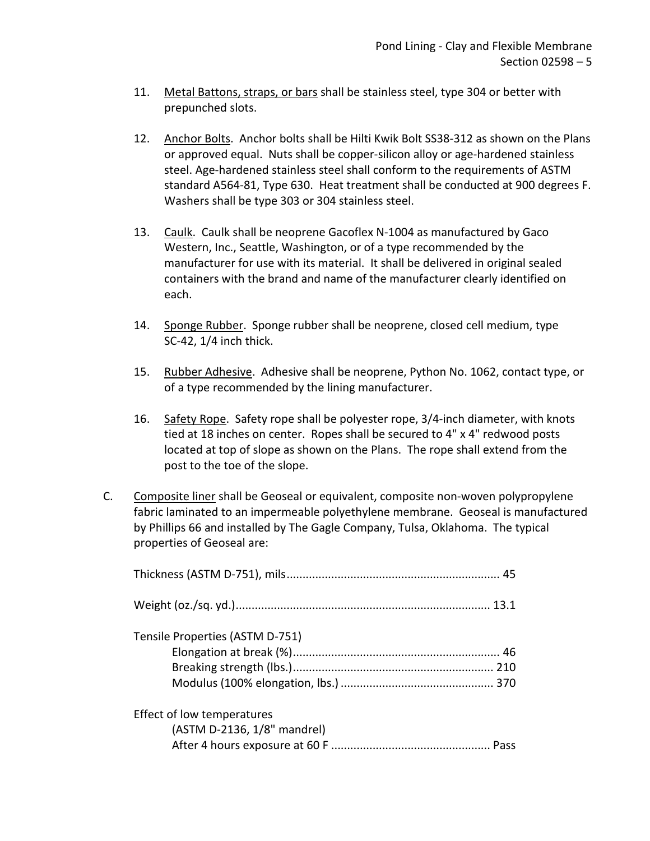- 11. Metal Battons, straps, or bars shall be stainless steel, type 304 or better with prepunched slots.
- 12. Anchor Bolts. Anchor bolts shall be Hilti Kwik Bolt SS38-312 as shown on the Plans or approved equal. Nuts shall be copper-silicon alloy or age-hardened stainless steel. Age-hardened stainless steel shall conform to the requirements of ASTM standard A564-81, Type 630. Heat treatment shall be conducted at 900 degrees F. Washers shall be type 303 or 304 stainless steel.
- 13. Caulk. Caulk shall be neoprene Gacoflex N-1004 as manufactured by Gaco Western, Inc., Seattle, Washington, or of a type recommended by the manufacturer for use with its material. It shall be delivered in original sealed containers with the brand and name of the manufacturer clearly identified on each.
- 14. Sponge Rubber. Sponge rubber shall be neoprene, closed cell medium, type SC-42, 1/4 inch thick.
- 15. Rubber Adhesive. Adhesive shall be neoprene, Python No. 1062, contact type, or of a type recommended by the lining manufacturer.
- 16. Safety Rope. Safety rope shall be polyester rope, 3/4-inch diameter, with knots tied at 18 inches on center. Ropes shall be secured to 4" x 4" redwood posts located at top of slope as shown on the Plans. The rope shall extend from the post to the toe of the slope.
- C. Composite liner shall be Geoseal or equivalent, composite non-woven polypropylene fabric laminated to an impermeable polyethylene membrane. Geoseal is manufactured by Phillips 66 and installed by The Gagle Company, Tulsa, Oklahoma. The typical properties of Geoseal are:

| Tensile Properties (ASTM D-751)                           |  |
|-----------------------------------------------------------|--|
| Effect of low temperatures<br>(ASTM D-2136, 1/8" mandrel) |  |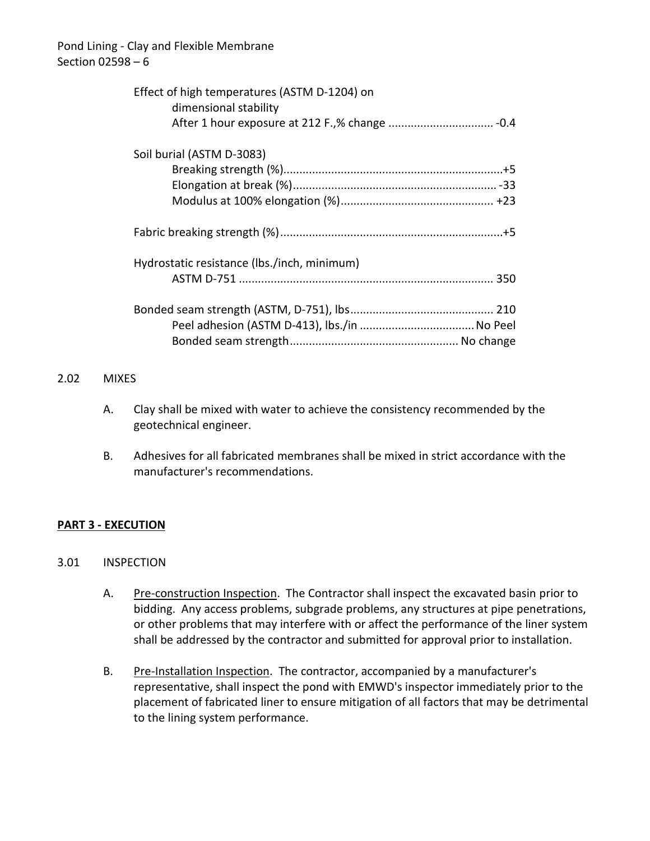| Effect of high temperatures (ASTM D-1204) on<br>dimensional stability |  |
|-----------------------------------------------------------------------|--|
|                                                                       |  |
| Soil burial (ASTM D-3083)                                             |  |
|                                                                       |  |
|                                                                       |  |
|                                                                       |  |
|                                                                       |  |
| Hydrostatic resistance (lbs./inch, minimum)                           |  |
|                                                                       |  |
|                                                                       |  |
|                                                                       |  |
|                                                                       |  |

#### <span id="page-7-0"></span>2.02 MIXES

- A. Clay shall be mixed with water to achieve the consistency recommended by the geotechnical engineer.
- B. Adhesives for all fabricated membranes shall be mixed in strict accordance with the manufacturer's recommendations.

# <span id="page-7-1"></span>**PART 3 - EXECUTION**

#### <span id="page-7-2"></span>3.01 INSPECTION

- A. Pre-construction Inspection. The Contractor shall inspect the excavated basin prior to bidding. Any access problems, subgrade problems, any structures at pipe penetrations, or other problems that may interfere with or affect the performance of the liner system shall be addressed by the contractor and submitted for approval prior to installation.
- B. Pre-Installation Inspection. The contractor, accompanied by a manufacturer's representative, shall inspect the pond with EMWD's inspector immediately prior to the placement of fabricated liner to ensure mitigation of all factors that may be detrimental to the lining system performance.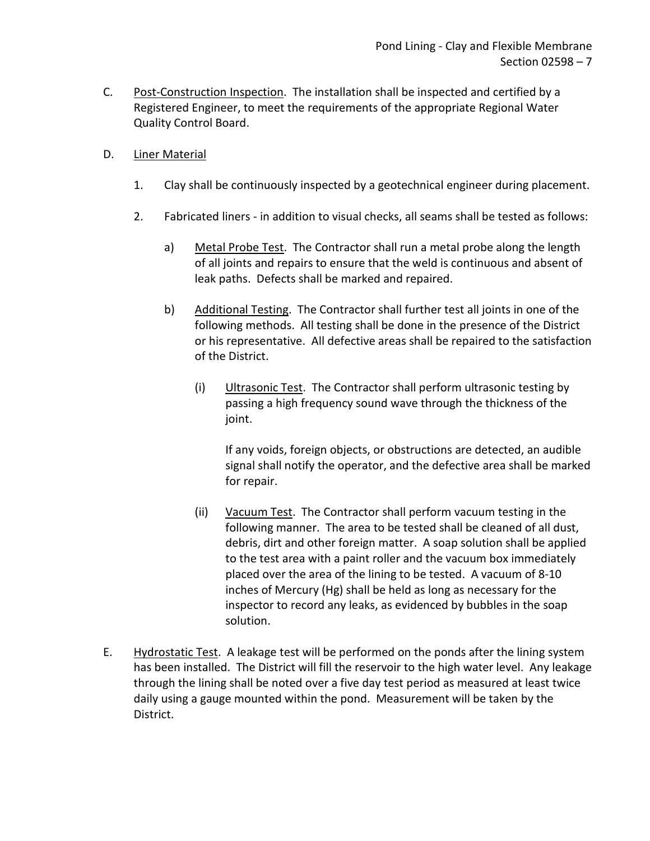- C. Post-Construction Inspection. The installation shall be inspected and certified by a Registered Engineer, to meet the requirements of the appropriate Regional Water Quality Control Board.
- D. Liner Material
	- 1. Clay shall be continuously inspected by a geotechnical engineer during placement.
	- 2. Fabricated liners in addition to visual checks, all seams shall be tested as follows:
		- a) Metal Probe Test. The Contractor shall run a metal probe along the length of all joints and repairs to ensure that the weld is continuous and absent of leak paths. Defects shall be marked and repaired.
		- b) Additional Testing. The Contractor shall further test all joints in one of the following methods. All testing shall be done in the presence of the District or his representative. All defective areas shall be repaired to the satisfaction of the District.
			- (i) Ultrasonic Test. The Contractor shall perform ultrasonic testing by passing a high frequency sound wave through the thickness of the joint.

If any voids, foreign objects, or obstructions are detected, an audible signal shall notify the operator, and the defective area shall be marked for repair.

- (ii) Vacuum Test. The Contractor shall perform vacuum testing in the following manner. The area to be tested shall be cleaned of all dust, debris, dirt and other foreign matter. A soap solution shall be applied to the test area with a paint roller and the vacuum box immediately placed over the area of the lining to be tested. A vacuum of 8-10 inches of Mercury (Hg) shall be held as long as necessary for the inspector to record any leaks, as evidenced by bubbles in the soap solution.
- E. Hydrostatic Test. A leakage test will be performed on the ponds after the lining system has been installed. The District will fill the reservoir to the high water level. Any leakage through the lining shall be noted over a five day test period as measured at least twice daily using a gauge mounted within the pond. Measurement will be taken by the District.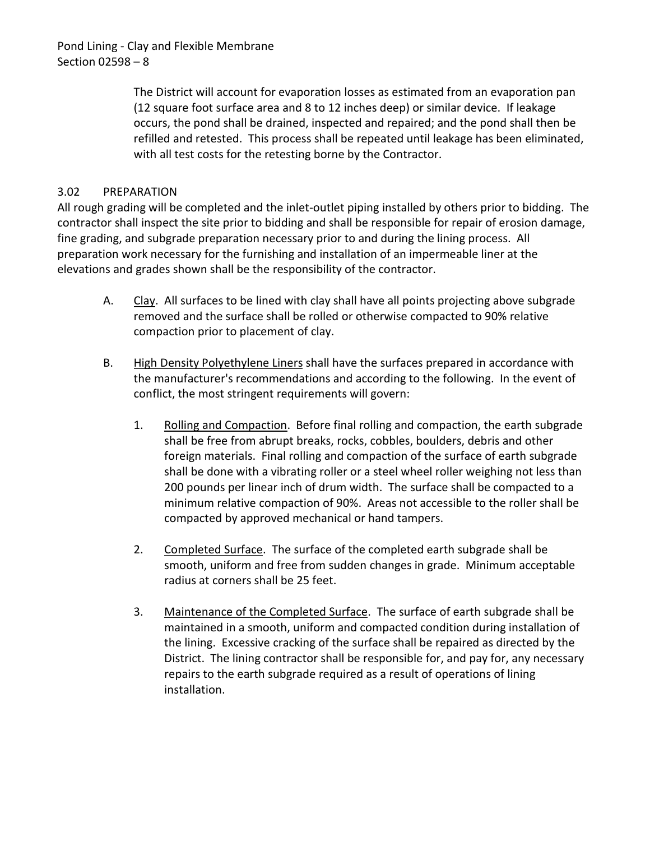Pond Lining - Clay and Flexible Membrane Section 02598 – 8

> The District will account for evaporation losses as estimated from an evaporation pan (12 square foot surface area and 8 to 12 inches deep) or similar device. If leakage occurs, the pond shall be drained, inspected and repaired; and the pond shall then be refilled and retested. This process shall be repeated until leakage has been eliminated, with all test costs for the retesting borne by the Contractor.

# <span id="page-9-0"></span>3.02 PREPARATION

All rough grading will be completed and the inlet-outlet piping installed by others prior to bidding. The contractor shall inspect the site prior to bidding and shall be responsible for repair of erosion damage, fine grading, and subgrade preparation necessary prior to and during the lining process. All preparation work necessary for the furnishing and installation of an impermeable liner at the elevations and grades shown shall be the responsibility of the contractor.

- A. Clay. All surfaces to be lined with clay shall have all points projecting above subgrade removed and the surface shall be rolled or otherwise compacted to 90% relative compaction prior to placement of clay.
- B. High Density Polyethylene Liners shall have the surfaces prepared in accordance with the manufacturer's recommendations and according to the following. In the event of conflict, the most stringent requirements will govern:
	- 1. Rolling and Compaction. Before final rolling and compaction, the earth subgrade shall be free from abrupt breaks, rocks, cobbles, boulders, debris and other foreign materials. Final rolling and compaction of the surface of earth subgrade shall be done with a vibrating roller or a steel wheel roller weighing not less than 200 pounds per linear inch of drum width. The surface shall be compacted to a minimum relative compaction of 90%. Areas not accessible to the roller shall be compacted by approved mechanical or hand tampers.
	- 2. Completed Surface. The surface of the completed earth subgrade shall be smooth, uniform and free from sudden changes in grade. Minimum acceptable radius at corners shall be 25 feet.
	- 3. Maintenance of the Completed Surface. The surface of earth subgrade shall be maintained in a smooth, uniform and compacted condition during installation of the lining. Excessive cracking of the surface shall be repaired as directed by the District. The lining contractor shall be responsible for, and pay for, any necessary repairs to the earth subgrade required as a result of operations of lining installation.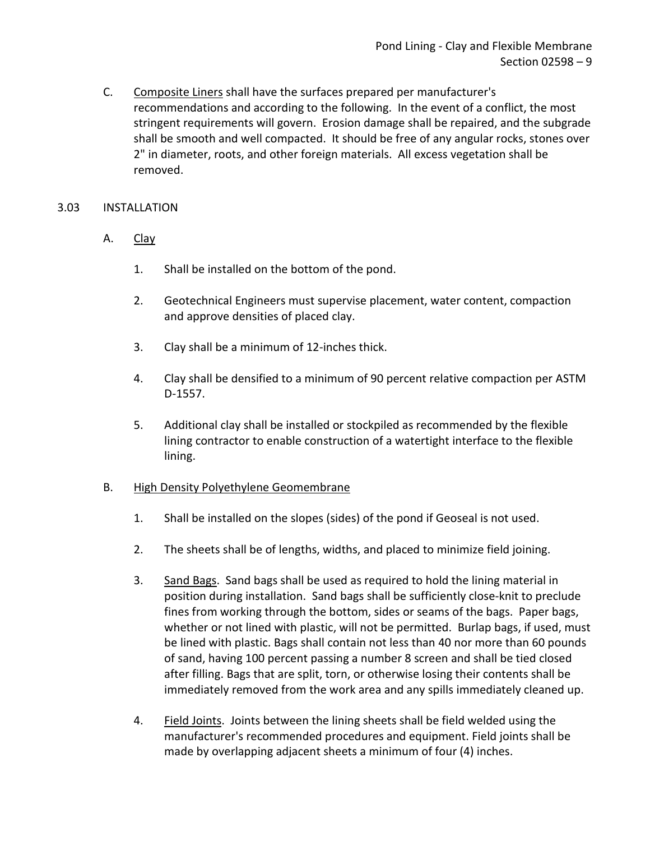C. Composite Liners shall have the surfaces prepared per manufacturer's recommendations and according to the following. In the event of a conflict, the most stringent requirements will govern. Erosion damage shall be repaired, and the subgrade shall be smooth and well compacted. It should be free of any angular rocks, stones over 2" in diameter, roots, and other foreign materials. All excess vegetation shall be removed.

## <span id="page-10-0"></span>3.03 INSTALLATION

- A. Clay
	- 1. Shall be installed on the bottom of the pond.
	- 2. Geotechnical Engineers must supervise placement, water content, compaction and approve densities of placed clay.
	- 3. Clay shall be a minimum of 12-inches thick.
	- 4. Clay shall be densified to a minimum of 90 percent relative compaction per ASTM D-1557.
	- 5. Additional clay shall be installed or stockpiled as recommended by the flexible lining contractor to enable construction of a watertight interface to the flexible lining.

#### B. High Density Polyethylene Geomembrane

- 1. Shall be installed on the slopes (sides) of the pond if Geoseal is not used.
- 2. The sheets shall be of lengths, widths, and placed to minimize field joining.
- 3. Sand Bags. Sand bags shall be used as required to hold the lining material in position during installation. Sand bags shall be sufficiently close-knit to preclude fines from working through the bottom, sides or seams of the bags. Paper bags, whether or not lined with plastic, will not be permitted. Burlap bags, if used, must be lined with plastic. Bags shall contain not less than 40 nor more than 60 pounds of sand, having 100 percent passing a number 8 screen and shall be tied closed after filling. Bags that are split, torn, or otherwise losing their contents shall be immediately removed from the work area and any spills immediately cleaned up.
- 4. Field Joints. Joints between the lining sheets shall be field welded using the manufacturer's recommended procedures and equipment. Field joints shall be made by overlapping adjacent sheets a minimum of four (4) inches.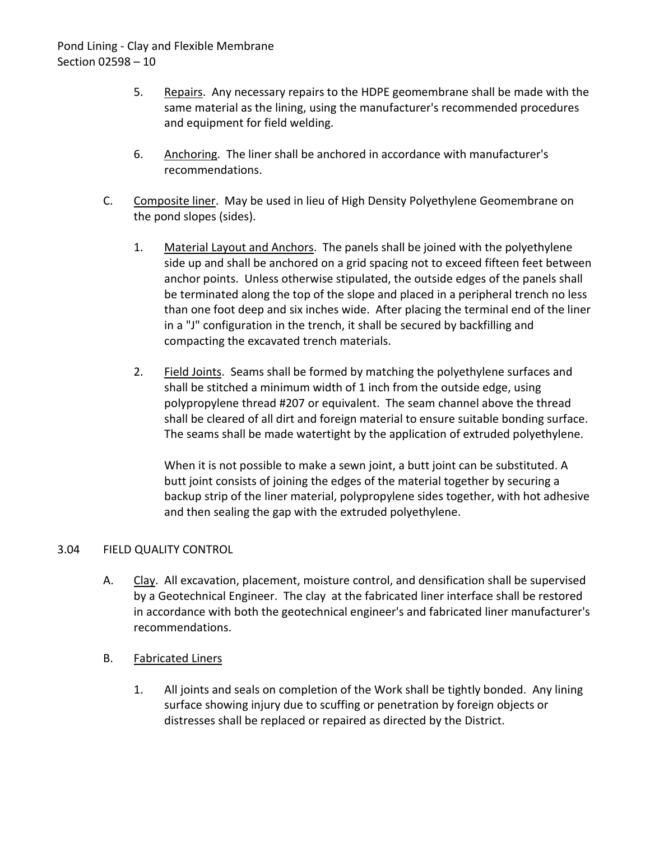- 5. Repairs. Any necessary repairs to the HDPE geomembrane shall be made with the same material as the lining, using the manufacturer's recommended procedures and equipment for field welding.
- 6. Anchoring. The liner shall be anchored in accordance with manufacturer's recommendations.
- C. Composite liner. May be used in lieu of High Density Polyethylene Geomembrane on the pond slopes (sides).
	- 1. Material Layout and Anchors. The panels shall be joined with the polyethylene side up and shall be anchored on a grid spacing not to exceed fifteen feet between anchor points. Unless otherwise stipulated, the outside edges of the panels shall be terminated along the top of the slope and placed in a peripheral trench no less than one foot deep and six inches wide. After placing the terminal end of the liner in a "J" configuration in the trench, it shall be secured by backfilling and compacting the excavated trench materials.
	- 2. Field Joints. Seams shall be formed by matching the polyethylene surfaces and shall be stitched a minimum width of 1 inch from the outside edge, using polypropylene thread #207 or equivalent. The seam channel above the thread shall be cleared of all dirt and foreign material to ensure suitable bonding surface. The seams shall be made watertight by the application of extruded polyethylene.

When it is not possible to make a sewn joint, a butt joint can be substituted. A butt joint consists of joining the edges of the material together by securing a backup strip of the liner material, polypropylene sides together, with hot adhesive and then sealing the gap with the extruded polyethylene.

# <span id="page-11-0"></span>3.04 FIELD QUALITY CONTROL

- A. Clay. All excavation, placement, moisture control, and densification shall be supervised by a Geotechnical Engineer. The clay at the fabricated liner interface shall be restored in accordance with both the geotechnical engineer's and fabricated liner manufacturer's recommendations.
- B. Fabricated Liners
	- 1. All joints and seals on completion of the Work shall be tightly bonded. Any lining surface showing injury due to scuffing or penetration by foreign objects or distresses shall be replaced or repaired as directed by the District.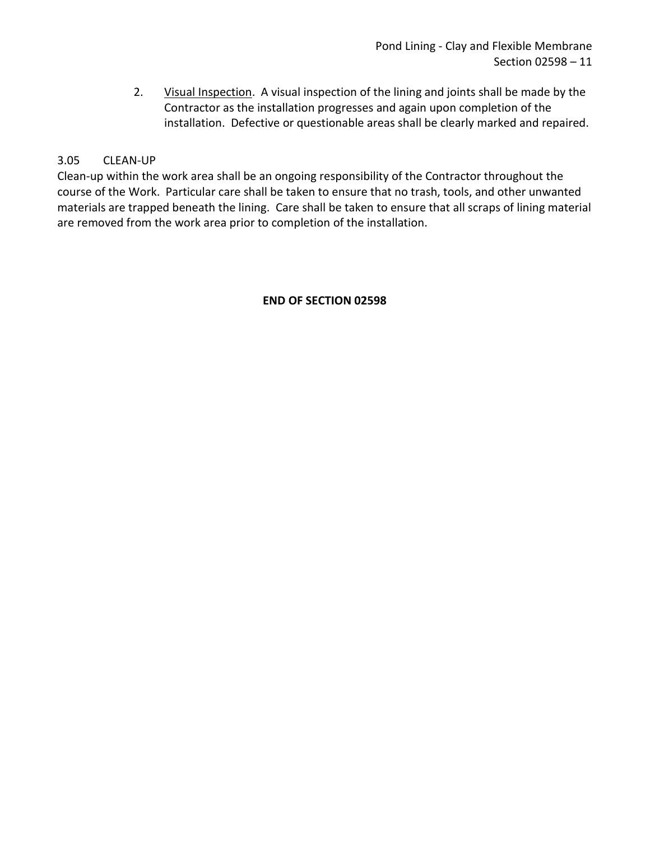2. Visual Inspection. A visual inspection of the lining and joints shall be made by the Contractor as the installation progresses and again upon completion of the installation. Defective or questionable areas shall be clearly marked and repaired.

# <span id="page-12-0"></span>3.05 CLEAN-UP

Clean-up within the work area shall be an ongoing responsibility of the Contractor throughout the course of the Work. Particular care shall be taken to ensure that no trash, tools, and other unwanted materials are trapped beneath the lining. Care shall be taken to ensure that all scraps of lining material are removed from the work area prior to completion of the installation.

## **END OF SECTION 02598**